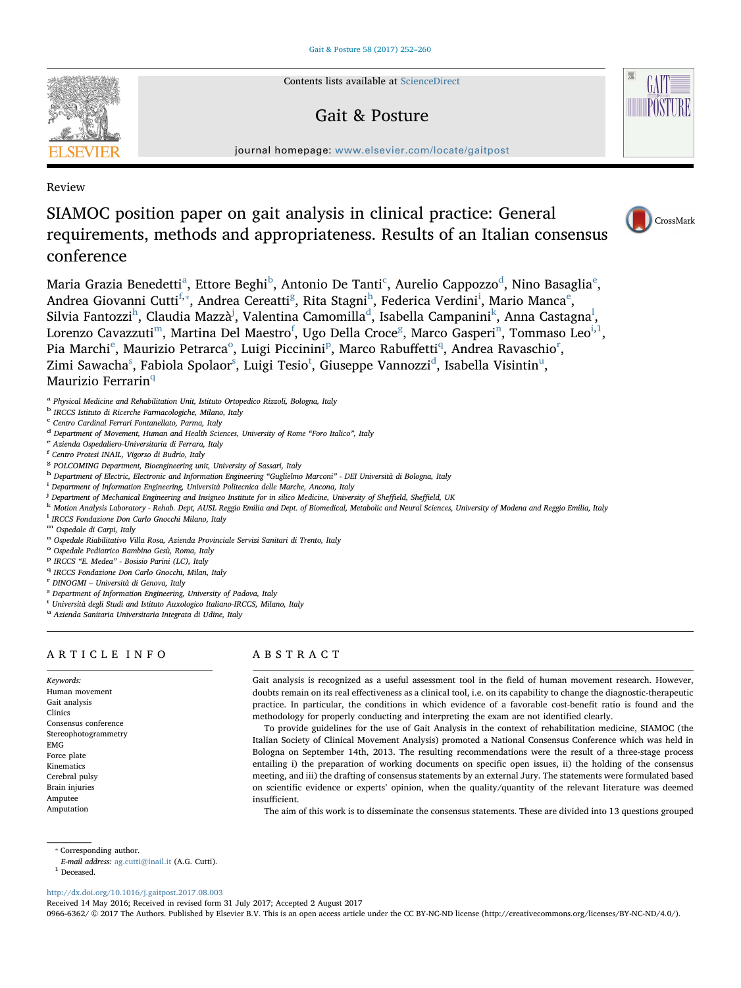Contents lists available at [ScienceDirect](http://www.sciencedirect.com/science/journal/09666362)

# Gait & Posture



journal homepage: [www.elsevier.com/locate/gaitpost](http://www.elsevier.com/locate/gaitpost)

Review

# SIAMOC position paper on gait analysis in clinical practice: General requirements, methods and appropriateness. Results of an Italian consensus conference



M[a](#page-0-0)ria Grazia Benedetti<sup>a</sup>, Ettore Beghi<sup>[b](#page-0-1)</sup>, Antonio De Tanti<sup>[c](#page-0-2)</sup>, Aurelio Cappozzo<sup>[d](#page-0-3)</sup>, Nino Basaglia<sup>[e](#page-0-4)</sup>, Andrea Giovanni Cutti<sup>[f](#page-0-5),\*</sup>, Andrea Cereatti<sup>[g](#page-0-7)</sup>, Rita Stagni<sup>[h](#page-0-8)</sup>, Feder[i](#page-0-9)ca V[e](#page-0-4)rdini<sup>i</sup>, Mario Manca<sup>e</sup>, Silvia Fantozzi<sup>[h](#page-0-8)</sup>, Claudia Mazzà<sup>[j](#page-0-10)</sup>, Valentina Camomilla<sup>[d](#page-0-3)</sup>, Isabella Campanini<sup>[k](#page-0-11)</sup>, Anna Castagna<sup>[l](#page-0-12)</sup>, Lorenzo Cavazzuti<sup>m</sup>, Martina Del Maestro<sup>f</sup>, U[g](#page-0-7)o Della Croce<sup>g</sup>, Marco Gasperi<sup>[n](#page-0-14)</sup>, Tommaso Leo<sup>i,[1](#page-0-15)</sup>, Pia Marchi<sup>[e](#page-0-4)</sup>, Maurizi[o](#page-0-16) Petrarca<su[p](#page-0-17)>o</sup>, Luigi Piccinini<sup>p</sup>, Marco Rabuffetti<sup>[q](#page-0-18)</sup>, And[r](#page-0-19)ea Ravaschio<sup>r</sup>, Zimi Sawacha $^{\rm s}$  $^{\rm s}$  $^{\rm s}$ , Fabiola Spolaor $^{\rm s}$ , L[u](#page-0-22)igi Tesio $^{\rm t}$  $^{\rm t}$  $^{\rm t}$ , Giuseppe Vannozzi $^{\rm d}$  $^{\rm d}$  $^{\rm d}$ , Isabella Visintin $^{\rm u}$ , Maurizio Ferrarin<sup>[q](#page-0-18)</sup>

<span id="page-0-0"></span><sup>a</sup> Physical Medicine and Rehabilitation Unit, Istituto Ortopedico Rizzoli, Bologna, Italy

- <span id="page-0-1"></span><sup>b</sup> IRCCS Istituto di Ricerche Farmacologiche, Milano, Italy
- <span id="page-0-2"></span><sup>c</sup> Centro Cardinal Ferrari Fontanellato, Parma, Italy
- <span id="page-0-3"></span> $^{\rm d}$  Department of Movement, Human and Health Sciences, University of Rome "Foro Italico", Italy e Azienda Ospedaliero-Universitaria di Ferrara, Italy
- <span id="page-0-4"></span>
- <span id="page-0-5"></span>f Centro Protesi INAIL, Vigorso di Budrio, Italy
- <span id="page-0-7"></span><sup>8</sup> POLCOMING Department, Bioengineering unit, University of Sassari, Italy
- <span id="page-0-8"></span>h Department of Electric, Electronic and Information Engineering "Guglielmo Marconi" - DEI Università di Bologna, Italy
- <span id="page-0-9"></span><sup>i</sup> Department of Information Engineering, Università Politecnica delle Marche, Ancona, Italy
- <span id="page-0-10"></span><sup>j</sup> Department of Mechanical Engineering and Insigneo Institute for in silico Medicine, University of Sheffield, Sheffield, UK
- <span id="page-0-11"></span>k Motion Analysis Laboratory - Rehab. Dept, AUSL Reggio Emilia and Dept. of Biomedical, Metabolic and Neural Sciences, University of Modena and Reggio Emilia, Italy
- <span id="page-0-12"></span>l IRCCS Fondazione Don Carlo Gnocchi Milano, Italy
- <span id="page-0-14"></span>
- <span id="page-0-13"></span>m Ospedale di Carpi, Italy<br>n Ospedale Riabilitativo Villa Rosa, Azienda Provinciale Servizi Sanitari di Trento, Italy<br>° Ospedale Pediatrico Bambino Gesù, Roma, Italy
- <span id="page-0-16"></span>
- <span id="page-0-18"></span><span id="page-0-17"></span><sup>P</sup> IRCCS "E. Medea" - Bosisio Parini (LC), Italy q IRCCS Fondazione Don Carlo Gnocchi, Milan, Italy
- 
- <span id="page-0-20"></span>
- <span id="page-0-19"></span> $r$  DINOGMI – Università di Genova, Italy s Department of Information Engineering, University of Padova, Italy
- <span id="page-0-21"></span><sup>t</sup> Università degli Studi and Istituto Auxologico Italiano-IRCCS, Milano, Italy
- <span id="page-0-22"></span><sup>u</sup> Azienda Sanitaria Universitaria Integrata di Udine, Italy

## ARTICLE INFO

Keywords: Human movement Gait analysis Clinics Consensus conference Stereophotogrammetry EMG Force plate Kinematics Cerebral pulsy Brain injuries Amputee Amputation

## ABSTRACT

Gait analysis is recognized as a useful assessment tool in the field of human movement research. However, doubts remain on its real effectiveness as a clinical tool, i.e. on its capability to change the diagnostic-therapeutic practice. In particular, the conditions in which evidence of a favorable cost-benefit ratio is found and the methodology for properly conducting and interpreting the exam are not identified clearly.

To provide guidelines for the use of Gait Analysis in the context of rehabilitation medicine, SIAMOC (the Italian Society of Clinical Movement Analysis) promoted a National Consensus Conference which was held in Bologna on September 14th, 2013. The resulting recommendations were the result of a three-stage process entailing i) the preparation of working documents on specific open issues, ii) the holding of the consensus meeting, and iii) the drafting of consensus statements by an external Jury. The statements were formulated based on scientific evidence or experts' opinion, when the quality/quantity of the relevant literature was deemed insufficient.

The aim of this work is to disseminate the consensus statements. These are divided into 13 questions grouped

<span id="page-0-6"></span>⁎ Corresponding author.

- E-mail address: [ag.cutti@inail.it](mailto:ag.cutti@inail.it) (A.G. Cutti).
- <span id="page-0-15"></span> $^{\rm 1}$  Deceased.

<http://dx.doi.org/10.1016/j.gaitpost.2017.08.003>

Received 14 May 2016; Received in revised form 31 July 2017; Accepted 2 August 2017

0966-6362/ © 2017 The Authors. Published by Elsevier B.V. This is an open access article under the CC BY-NC-ND license (http://creativecommons.org/licenses/BY-NC-ND/4.0/).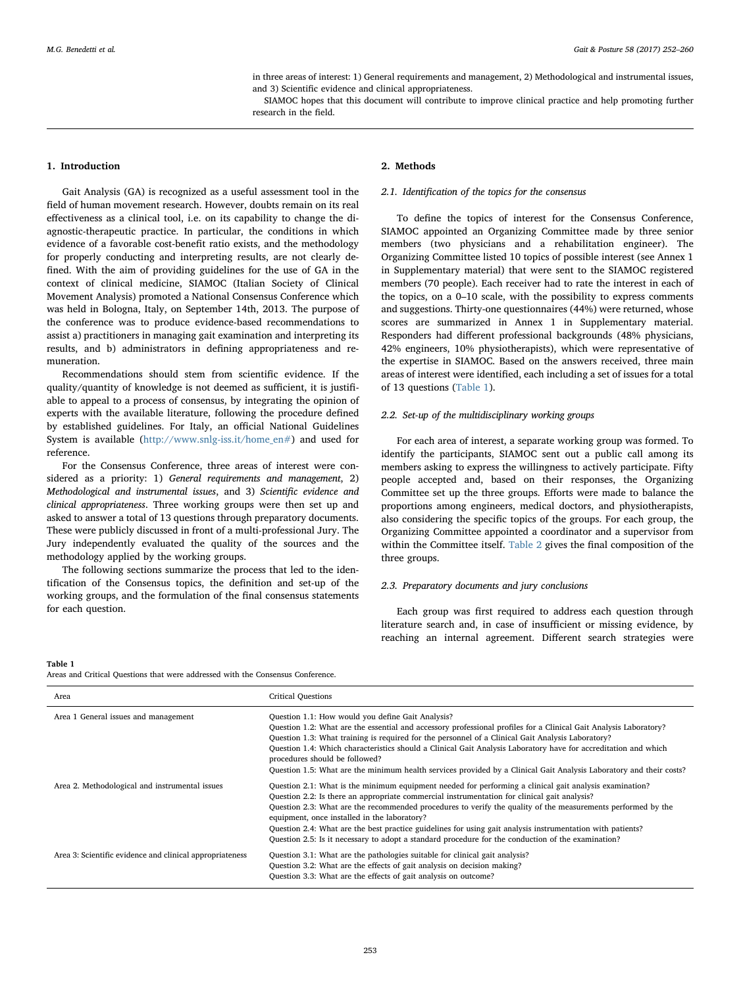in three areas of interest: 1) General requirements and management, 2) Methodological and instrumental issues, and 3) Scientific evidence and clinical appropriateness.

SIAMOC hopes that this document will contribute to improve clinical practice and help promoting further research in the field.

## 1. Introduction

Gait Analysis (GA) is recognized as a useful assessment tool in the field of human movement research. However, doubts remain on its real effectiveness as a clinical tool, i.e. on its capability to change the diagnostic-therapeutic practice. In particular, the conditions in which evidence of a favorable cost-benefit ratio exists, and the methodology for properly conducting and interpreting results, are not clearly defined. With the aim of providing guidelines for the use of GA in the context of clinical medicine, SIAMOC (Italian Society of Clinical Movement Analysis) promoted a National Consensus Conference which was held in Bologna, Italy, on September 14th, 2013. The purpose of the conference was to produce evidence-based recommendations to assist a) practitioners in managing gait examination and interpreting its results, and b) administrators in defining appropriateness and remuneration.

Recommendations should stem from scientific evidence. If the quality/quantity of knowledge is not deemed as sufficient, it is justifiable to appeal to a process of consensus, by integrating the opinion of experts with the available literature, following the procedure defined by established guidelines. For Italy, an official National Guidelines System is available [\(http://www.snlg-iss.it/home\\_en#](http://www.snlg-iss.it/home_en#)) and used for reference.

For the Consensus Conference, three areas of interest were considered as a priority: 1) General requirements and management, 2) Methodological and instrumental issues, and 3) Scientific evidence and clinical appropriateness. Three working groups were then set up and asked to answer a total of 13 questions through preparatory documents. These were publicly discussed in front of a multi-professional Jury. The Jury independently evaluated the quality of the sources and the methodology applied by the working groups.

The following sections summarize the process that led to the identification of the Consensus topics, the definition and set-up of the working groups, and the formulation of the final consensus statements for each question.

## 2. Methods

#### 2.1. Identification of the topics for the consensus

To define the topics of interest for the Consensus Conference, SIAMOC appointed an Organizing Committee made by three senior members (two physicians and a rehabilitation engineer). The Organizing Committee listed 10 topics of possible interest (see Annex 1 in Supplementary material) that were sent to the SIAMOC registered members (70 people). Each receiver had to rate the interest in each of the topics, on a 0–10 scale, with the possibility to express comments and suggestions. Thirty-one questionnaires (44%) were returned, whose scores are summarized in Annex 1 in Supplementary material. Responders had different professional backgrounds (48% physicians, 42% engineers, 10% physiotherapists), which were representative of the expertise in SIAMOC. Based on the answers received, three main areas of interest were identified, each including a set of issues for a total of 13 questions ([Table 1](#page-1-0)).

## 2.2. Set-up of the multidisciplinary working groups

For each area of interest, a separate working group was formed. To identify the participants, SIAMOC sent out a public call among its members asking to express the willingness to actively participate. Fifty people accepted and, based on their responses, the Organizing Committee set up the three groups. Efforts were made to balance the proportions among engineers, medical doctors, and physiotherapists, also considering the specific topics of the groups. For each group, the Organizing Committee appointed a coordinator and a supervisor from within the Committee itself. [Table 2](#page-2-0) gives the final composition of the three groups.

#### 2.3. Preparatory documents and jury conclusions

Each group was first required to address each question through literature search and, in case of insufficient or missing evidence, by reaching an internal agreement. Different search strategies were

#### <span id="page-1-0"></span>Table 1

Areas and Critical Questions that were addressed with the Consensus Conference.

| Area                                                     | <b>Critical Questions</b>                                                                                                                                                                                                                                                                                                                                                                                                                                                                                                                                                                   |
|----------------------------------------------------------|---------------------------------------------------------------------------------------------------------------------------------------------------------------------------------------------------------------------------------------------------------------------------------------------------------------------------------------------------------------------------------------------------------------------------------------------------------------------------------------------------------------------------------------------------------------------------------------------|
| Area 1 General issues and management                     | Question 1.1: How would you define Gait Analysis?<br>Question 1.2: What are the essential and accessory professional profiles for a Clinical Gait Analysis Laboratory?<br>Question 1.3: What training is required for the personnel of a Clinical Gait Analysis Laboratory?<br>Question 1.4: Which characteristics should a Clinical Gait Analysis Laboratory have for accreditation and which<br>procedures should be followed?<br>Question 1.5: What are the minimum health services provided by a Clinical Gait Analysis Laboratory and their costs?                                     |
| Area 2. Methodological and instrumental issues           | Question 2.1: What is the minimum equipment needed for performing a clinical gait analysis examination?<br>Question 2.2: Is there an appropriate commercial instrumentation for clinical gait analysis?<br>Question 2.3: What are the recommended procedures to verify the quality of the measurements performed by the<br>equipment, once installed in the laboratory?<br>Question 2.4: What are the best practice guidelines for using gait analysis instrumentation with patients?<br>Question 2.5: Is it necessary to adopt a standard procedure for the conduction of the examination? |
| Area 3: Scientific evidence and clinical appropriateness | Question 3.1: What are the pathologies suitable for clinical gait analysis?<br>Question 3.2: What are the effects of gait analysis on decision making?<br>Question 3.3: What are the effects of gait analysis on outcome?                                                                                                                                                                                                                                                                                                                                                                   |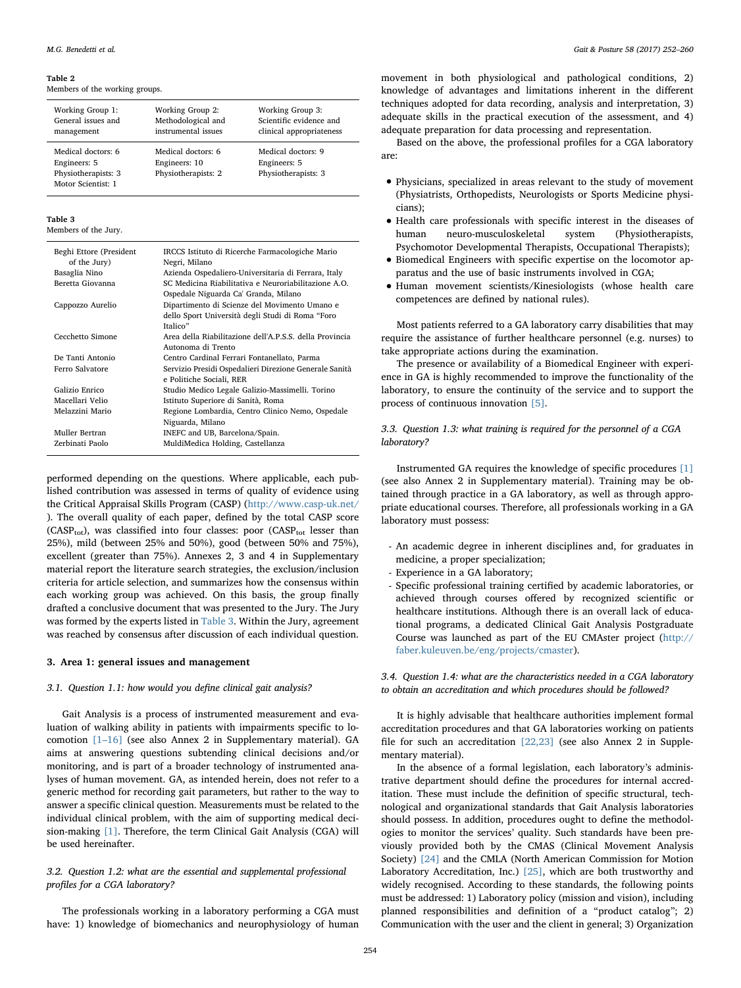#### <span id="page-2-0"></span>Table 2

Members of the working groups.

| Working Group 1:<br>General issues and<br>management                            | Working Group 2:<br>Methodological and<br>instrumental issues | Working Group 3:<br>Scientific evidence and<br>clinical appropriateness |
|---------------------------------------------------------------------------------|---------------------------------------------------------------|-------------------------------------------------------------------------|
| Medical doctors: 6<br>Engineers: 5<br>Physiotherapists: 3<br>Motor Scientist: 1 | Medical doctors: 6<br>Engineers: 10<br>Physiotherapists: 2    | Medical doctors: 9<br>Engineers: 5<br>Physiotherapists: 3               |

#### <span id="page-2-1"></span>Table 3

Members of the Jury.

| Beghi Ettore (President<br>of the Jury) | IRCCS Istituto di Ricerche Farmacologiche Mario<br>Negri, Milano                                              |
|-----------------------------------------|---------------------------------------------------------------------------------------------------------------|
| Basaglia Nino                           | Azienda Ospedaliero-Universitaria di Ferrara, Italy                                                           |
| Beretta Giovanna                        | SC Medicina Riabilitativa e Neuroriabilitazione A.O.<br>Ospedale Niguarda Ca' Granda, Milano                  |
| Cappozzo Aurelio                        | Dipartimento di Scienze del Movimento Umano e<br>dello Sport Università degli Studi di Roma "Foro<br>Italico" |
| Cecchetto Simone                        | Area della Riabilitazione dell'A.P.S.S. della Provincia<br>Autonoma di Trento                                 |
| De Tanti Antonio                        | Centro Cardinal Ferrari Fontanellato, Parma                                                                   |
| Ferro Salvatore                         | Servizio Presidi Ospedalieri Direzione Generale Sanità<br>e Politiche Sociali, RER                            |
| Galizio Enrico                          | Studio Medico Legale Galizio-Massimelli. Torino                                                               |
| Macellari Velio                         | Istituto Superiore di Sanità, Roma                                                                            |
| Melazzini Mario                         | Regione Lombardia, Centro Clinico Nemo, Ospedale<br>Niguarda, Milano                                          |
| Muller Bertran                          | INEFC and UB, Barcelona/Spain.                                                                                |
| Zerbinati Paolo                         | MuldiMedica Holding, Castellanza                                                                              |

performed depending on the questions. Where applicable, each published contribution was assessed in terms of quality of evidence using the Critical Appraisal Skills Program (CASP) [\(http://www.casp-uk.net/](http://www.casp-uk.net/) ). The overall quality of each paper, defined by the total CASP score (CASP<sub>tot</sub>), was classified into four classes: poor (CASP<sub>tot</sub> lesser than 25%), mild (between 25% and 50%), good (between 50% and 75%), excellent (greater than 75%). Annexes 2, 3 and 4 in Supplementary material report the literature search strategies, the exclusion/inclusion criteria for article selection, and summarizes how the consensus within each working group was achieved. On this basis, the group finally drafted a conclusive document that was presented to the Jury. The Jury was formed by the experts listed in [Table 3.](#page-2-1) Within the Jury, agreement was reached by consensus after discussion of each individual question.

#### 3. Area 1: general issues and management

## 3.1. Question 1.1: how would you define clinical gait analysis?

Gait Analysis is a process of instrumented measurement and evaluation of walking ability in patients with impairments specific to locomotion [1–[16\]](#page-6-0) (see also Annex 2 in Supplementary material). GA aims at answering questions subtending clinical decisions and/or monitoring, and is part of a broader technology of instrumented analyses of human movement. GA, as intended herein, does not refer to a generic method for recording gait parameters, but rather to the way to answer a specific clinical question. Measurements must be related to the individual clinical problem, with the aim of supporting medical decision-making [\[1\].](#page-6-0) Therefore, the term Clinical Gait Analysis (CGA) will be used hereinafter.

## 3.2. Question 1.2: what are the essential and supplemental professional profiles for a CGA laboratory?

The professionals working in a laboratory performing a CGA must have: 1) knowledge of biomechanics and neurophysiology of human

movement in both physiological and pathological conditions, 2) knowledge of advantages and limitations inherent in the different techniques adopted for data recording, analysis and interpretation, 3) adequate skills in the practical execution of the assessment, and 4) adequate preparation for data processing and representation.

Based on the above, the professional profiles for a CGA laboratory are:

- Physicians, specialized in areas relevant to the study of movement (Physiatrists, Orthopedists, Neurologists or Sports Medicine physicians);
- Health care professionals with specific interest in the diseases of human neuro-musculoskeletal system (Physiotherapists. neuro-musculoskeletal Psychomotor Developmental Therapists, Occupational Therapists);
- Biomedical Engineers with specific expertise on the locomotor apparatus and the use of basic instruments involved in CGA;
- Human movement scientists/Kinesiologists (whose health care competences are defined by national rules).

Most patients referred to a GA laboratory carry disabilities that may require the assistance of further healthcare personnel (e.g. nurses) to take appropriate actions during the examination.

The presence or availability of a Biomedical Engineer with experience in GA is highly recommended to improve the functionality of the laboratory, to ensure the continuity of the service and to support the process of continuous innovation [\[5\]](#page-6-1).

## 3.3. Question 1.3: what training is required for the personnel of a CGA laboratory?

Instrumented GA requires the knowledge of specific procedures [\[1\]](#page-6-0) (see also Annex 2 in Supplementary material). Training may be obtained through practice in a GA laboratory, as well as through appropriate educational courses. Therefore, all professionals working in a GA laboratory must possess:

- An academic degree in inherent disciplines and, for graduates in medicine, a proper specialization;
- Experience in a GA laboratory;
- Specific professional training certified by academic laboratories, or achieved through courses offered by recognized scientific or healthcare institutions. Although there is an overall lack of educational programs, a dedicated Clinical Gait Analysis Postgraduate Course was launched as part of the EU CMAster project [\(http://](http://faber.kuleuven.be/eng/projects/cmaster) [faber.kuleuven.be/eng/projects/cmaster](http://faber.kuleuven.be/eng/projects/cmaster)).

3.4. Question 1.4: what are the characteristics needed in a CGA laboratory to obtain an accreditation and which procedures should be followed?

It is highly advisable that healthcare authorities implement formal accreditation procedures and that GA laboratories working on patients file for such an accreditation [\[22,23\]](#page-6-2) (see also Annex 2 in Supplementary material).

In the absence of a formal legislation, each laboratory's administrative department should define the procedures for internal accreditation. These must include the definition of specific structural, technological and organizational standards that Gait Analysis laboratories should possess. In addition, procedures ought to define the methodologies to monitor the services' quality. Such standards have been previously provided both by the CMAS (Clinical Movement Analysis Society) [\[24\]](#page-6-3) and the CMLA (North American Commission for Motion Laboratory Accreditation, Inc.) [\[25\]](#page-6-4), which are both trustworthy and widely recognised. According to these standards, the following points must be addressed: 1) Laboratory policy (mission and vision), including planned responsibilities and definition of a "product catalog"; 2) Communication with the user and the client in general; 3) Organization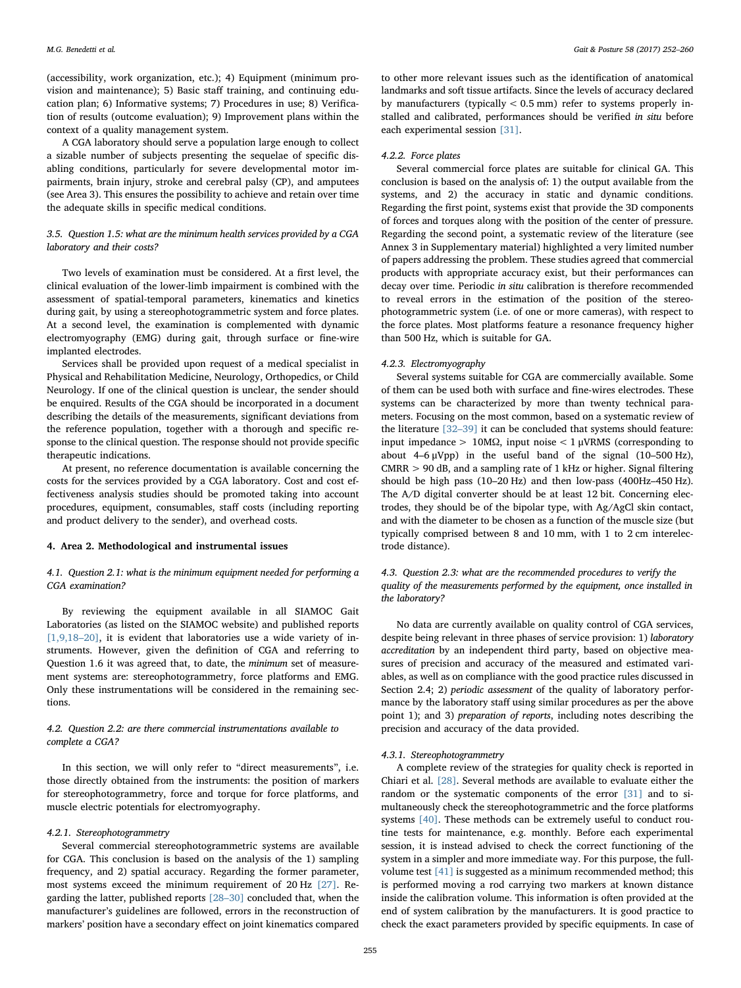(accessibility, work organization, etc.); 4) Equipment (minimum provision and maintenance); 5) Basic staff training, and continuing education plan; 6) Informative systems; 7) Procedures in use; 8) Verification of results (outcome evaluation); 9) Improvement plans within the context of a quality management system.

A CGA laboratory should serve a population large enough to collect a sizable number of subjects presenting the sequelae of specific disabling conditions, particularly for severe developmental motor impairments, brain injury, stroke and cerebral palsy (CP), and amputees (see Area 3). This ensures the possibility to achieve and retain over time the adequate skills in specific medical conditions.

## 3.5. Question 1.5: what are the minimum health services provided by a CGA laboratory and their costs?

Two levels of examination must be considered. At a first level, the clinical evaluation of the lower-limb impairment is combined with the assessment of spatial-temporal parameters, kinematics and kinetics during gait, by using a stereophotogrammetric system and force plates. At a second level, the examination is complemented with dynamic electromyography (EMG) during gait, through surface or fine-wire implanted electrodes.

Services shall be provided upon request of a medical specialist in Physical and Rehabilitation Medicine, Neurology, Orthopedics, or Child Neurology. If one of the clinical question is unclear, the sender should be enquired. Results of the CGA should be incorporated in a document describing the details of the measurements, significant deviations from the reference population, together with a thorough and specific response to the clinical question. The response should not provide specific therapeutic indications.

At present, no reference documentation is available concerning the costs for the services provided by a CGA laboratory. Cost and cost effectiveness analysis studies should be promoted taking into account procedures, equipment, consumables, staff costs (including reporting and product delivery to the sender), and overhead costs.

## 4. Area 2. Methodological and instrumental issues

## 4.1. Question 2.1: what is the minimum equipment needed for performing a CGA examination?

By reviewing the equipment available in all SIAMOC Gait Laboratories (as listed on the SIAMOC website) and published reports [\[1,9,18](#page-6-0)-20], it is evident that laboratories use a wide variety of instruments. However, given the definition of CGA and referring to Question 1.6 it was agreed that, to date, the minimum set of measurement systems are: stereophotogrammetry, force platforms and EMG. Only these instrumentations will be considered in the remaining sections.

## 4.2. Question 2.2: are there commercial instrumentations available to complete a CGA?

In this section, we will only refer to "direct measurements", i.e. those directly obtained from the instruments: the position of markers for stereophotogrammetry, force and torque for force platforms, and muscle electric potentials for electromyography.

## 4.2.1. Stereophotogrammetry

Several commercial stereophotogrammetric systems are available for CGA. This conclusion is based on the analysis of the 1) sampling frequency, and 2) spatial accuracy. Regarding the former parameter, most systems exceed the minimum requirement of 20 Hz [\[27\].](#page-6-5) Regarding the latter, published reports [\[28](#page-6-6)–30] concluded that, when the manufacturer's guidelines are followed, errors in the reconstruction of markers' position have a secondary effect on joint kinematics compared

to other more relevant issues such as the identification of anatomical landmarks and soft tissue artifacts. Since the levels of accuracy declared by manufacturers (typically  $< 0.5$  mm) refer to systems properly installed and calibrated, performances should be verified in situ before each experimental session [\[31\]](#page-6-7).

#### 4.2.2. Force plates

Several commercial force plates are suitable for clinical GA. This conclusion is based on the analysis of: 1) the output available from the systems, and 2) the accuracy in static and dynamic conditions. Regarding the first point, systems exist that provide the 3D components of forces and torques along with the position of the center of pressure. Regarding the second point, a systematic review of the literature (see Annex 3 in Supplementary material) highlighted a very limited number of papers addressing the problem. These studies agreed that commercial products with appropriate accuracy exist, but their performances can decay over time. Periodic in situ calibration is therefore recommended to reveal errors in the estimation of the position of the stereophotogrammetric system (i.e. of one or more cameras), with respect to the force plates. Most platforms feature a resonance frequency higher than 500 Hz, which is suitable for GA.

#### 4.2.3. Electromyography

Several systems suitable for CGA are commercially available. Some of them can be used both with surface and fine-wires electrodes. These systems can be characterized by more than twenty technical parameters. Focusing on the most common, based on a systematic review of the literature [32–[39\]](#page-6-8) it can be concluded that systems should feature: input impedance > 10M $\Omega$ , input noise < 1 µVRMS (corresponding to about  $4-6 \mu Vpp$ ) in the useful band of the signal (10-500 Hz), CMRR > 90 dB, and a sampling rate of 1 kHz or higher. Signal filtering should be high pass (10–20 Hz) and then low-pass (400Hz–450 Hz). The A/D digital converter should be at least 12 bit. Concerning electrodes, they should be of the bipolar type, with Ag/AgCl skin contact, and with the diameter to be chosen as a function of the muscle size (but typically comprised between 8 and 10 mm, with 1 to 2 cm interelectrode distance).

## 4.3. Question 2.3: what are the recommended procedures to verify the quality of the measurements performed by the equipment, once installed in the laboratory?

No data are currently available on quality control of CGA services, despite being relevant in three phases of service provision: 1) laboratory accreditation by an independent third party, based on objective measures of precision and accuracy of the measured and estimated variables, as well as on compliance with the good practice rules discussed in Section 2.4; 2) periodic assessment of the quality of laboratory performance by the laboratory staff using similar procedures as per the above point 1); and 3) preparation of reports, including notes describing the precision and accuracy of the data provided.

#### 4.3.1. Stereophotogrammetry

A complete review of the strategies for quality check is reported in Chiari et al. [\[28\]](#page-6-6). Several methods are available to evaluate either the random or the systematic components of the error [\[31\]](#page-6-7) and to simultaneously check the stereophotogrammetric and the force platforms systems [\[40\]](#page-7-0). These methods can be extremely useful to conduct routine tests for maintenance, e.g. monthly. Before each experimental session, it is instead advised to check the correct functioning of the system in a simpler and more immediate way. For this purpose, the fullvolume test [\[41\]](#page-7-1) is suggested as a minimum recommended method; this is performed moving a rod carrying two markers at known distance inside the calibration volume. This information is often provided at the end of system calibration by the manufacturers. It is good practice to check the exact parameters provided by specific equipments. In case of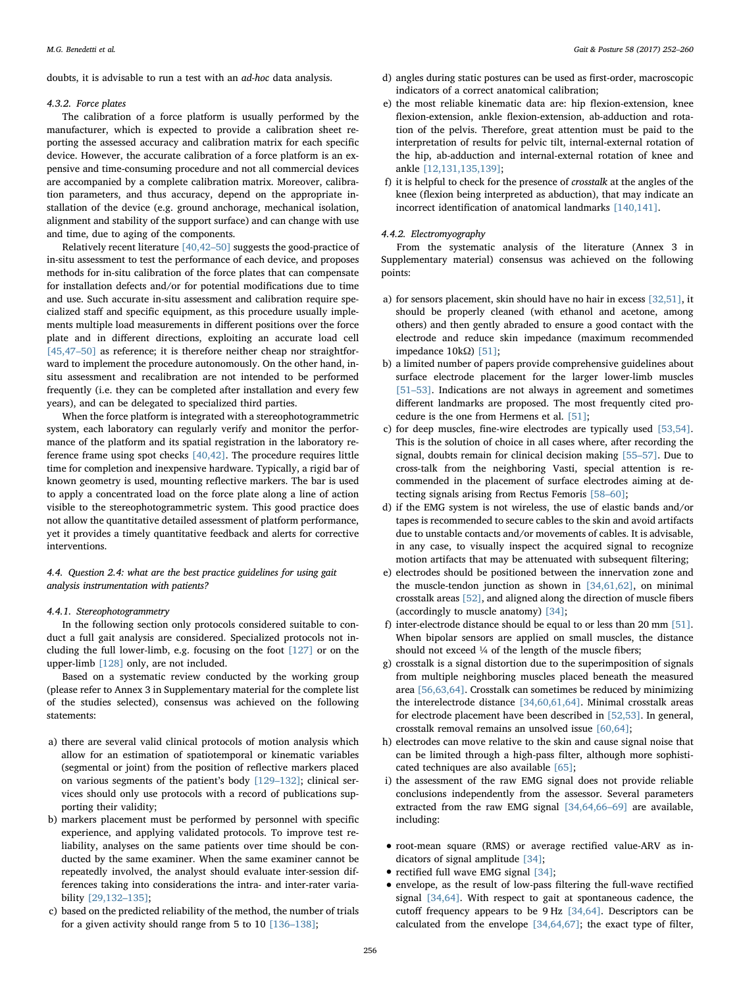doubts, it is advisable to run a test with an ad-hoc data analysis.

#### 4.3.2. Force plates

The calibration of a force platform is usually performed by the manufacturer, which is expected to provide a calibration sheet reporting the assessed accuracy and calibration matrix for each specific device. However, the accurate calibration of a force platform is an expensive and time-consuming procedure and not all commercial devices are accompanied by a complete calibration matrix. Moreover, calibration parameters, and thus accuracy, depend on the appropriate installation of the device (e.g. ground anchorage, mechanical isolation, alignment and stability of the support surface) and can change with use and time, due to aging of the components.

Relatively recent literature [\[40,42](#page-7-0)–50] suggests the good-practice of in-situ assessment to test the performance of each device, and proposes methods for in-situ calibration of the force plates that can compensate for installation defects and/or for potential modifications due to time and use. Such accurate in-situ assessment and calibration require specialized staff and specific equipment, as this procedure usually implements multiple load measurements in different positions over the force plate and in different directions, exploiting an accurate load cell [\[45,47](#page-7-2)–50] as reference; it is therefore neither cheap nor straightforward to implement the procedure autonomously. On the other hand, insitu assessment and recalibration are not intended to be performed frequently (i.e. they can be completed after installation and every few years), and can be delegated to specialized third parties.

When the force platform is integrated with a stereophotogrammetric system, each laboratory can regularly verify and monitor the performance of the platform and its spatial registration in the laboratory reference frame using spot checks [\[40,42\]](#page-7-0). The procedure requires little time for completion and inexpensive hardware. Typically, a rigid bar of known geometry is used, mounting reflective markers. The bar is used to apply a concentrated load on the force plate along a line of action visible to the stereophotogrammetric system. This good practice does not allow the quantitative detailed assessment of platform performance, yet it provides a timely quantitative feedback and alerts for corrective interventions.

4.4. Question 2.4: what are the best practice guidelines for using gait analysis instrumentation with patients?

#### 4.4.1. Stereophotogrammetry

In the following section only protocols considered suitable to conduct a full gait analysis are considered. Specialized protocols not including the full lower-limb, e.g. focusing on the foot [\[127\]](#page-8-0) or on the upper-limb [\[128\]](#page-8-1) only, are not included.

Based on a systematic review conducted by the working group (please refer to Annex 3 in Supplementary material for the complete list of the studies selected), consensus was achieved on the following statements:

- a) there are several valid clinical protocols of motion analysis which allow for an estimation of spatiotemporal or kinematic variables (segmental or joint) from the position of reflective markers placed on various segments of the patient's body [129–[132\];](#page-8-2) clinical services should only use protocols with a record of publications supporting their validity;
- b) markers placement must be performed by personnel with specific experience, and applying validated protocols. To improve test reliability, analyses on the same patients over time should be conducted by the same examiner. When the same examiner cannot be repeatedly involved, the analyst should evaluate inter-session differences taking into considerations the intra- and inter-rater variability [\[29,132](#page-6-9)–135];
- c) based on the predicted reliability of the method, the number of trials for a given activity should range from 5 to 10 [136–[138\];](#page-8-3)
- d) angles during static postures can be used as first-order, macroscopic indicators of a correct anatomical calibration;
- e) the most reliable kinematic data are: hip flexion-extension, knee flexion-extension, ankle flexion-extension, ab-adduction and rotation of the pelvis. Therefore, great attention must be paid to the interpretation of results for pelvic tilt, internal-external rotation of the hip, ab-adduction and internal-external rotation of knee and ankle [\[12,131,135,139\];](#page-6-10)
- f) it is helpful to check for the presence of crosstalk at the angles of the knee (flexion being interpreted as abduction), that may indicate an incorrect identification of anatomical landmarks [\[140,141\]](#page-8-4).

## 4.4.2. Electromyography

From the systematic analysis of the literature (Annex 3 in Supplementary material) consensus was achieved on the following points:

- a) for sensors placement, skin should have no hair in excess [\[32,51\]](#page-6-8), it should be properly cleaned (with ethanol and acetone, among others) and then gently abraded to ensure a good contact with the electrode and reduce skin impedance (maximum recommended impedance 10kΩ) [\[51\];](#page-7-3)
- b) a limited number of papers provide comprehensive guidelines about surface electrode placement for the larger lower-limb muscles [\[51](#page-7-3)–53]. Indications are not always in agreement and sometimes different landmarks are proposed. The most frequently cited procedure is the one from Hermens et al. [\[51\];](#page-7-3)
- c) for deep muscles, fine-wire electrodes are typically used [\[53,54\]](#page-7-4). This is the solution of choice in all cases where, after recording the signal, doubts remain for clinical decision making [55–[57\].](#page-7-5) Due to cross-talk from the neighboring Vasti, special attention is recommended in the placement of surface electrodes aiming at detecting signals arising from Rectus Femoris [58–[60\];](#page-7-6)
- d) if the EMG system is not wireless, the use of elastic bands and/or tapes is recommended to secure cables to the skin and avoid artifacts due to unstable contacts and/or movements of cables. It is advisable, in any case, to visually inspect the acquired signal to recognize motion artifacts that may be attenuated with subsequent filtering;
- e) electrodes should be positioned between the innervation zone and the muscle-tendon junction as shown in [\[34,61,62\]](#page-6-11), on minimal crosstalk areas [\[52\]](#page-7-7), and aligned along the direction of muscle fibers (accordingly to muscle anatomy) [\[34\]](#page-6-11);
- f) inter-electrode distance should be equal to or less than 20 mm [\[51\]](#page-7-3). When bipolar sensors are applied on small muscles, the distance should not exceed ¼ of the length of the muscle fibers;
- g) crosstalk is a signal distortion due to the superimposition of signals from multiple neighboring muscles placed beneath the measured area [\[56,63,64\].](#page-7-8) Crosstalk can sometimes be reduced by minimizing the interelectrode distance [\[34,60,61,64\].](#page-6-11) Minimal crosstalk areas for electrode placement have been described in [\[52,53\]](#page-7-7). In general, crosstalk removal remains an unsolved issue [\[60,64\]](#page-7-9);
- h) electrodes can move relative to the skin and cause signal noise that can be limited through a high-pass filter, although more sophisticated techniques are also available [\[65\];](#page-7-10)
- i) the assessment of the raw EMG signal does not provide reliable conclusions independently from the assessor. Several parameters extracted from the raw EMG signal [\[34,64,66](#page-6-11)–69] are available, including:
- root-mean square (RMS) or average rectified value-ARV as indicators of signal amplitude [\[34\]](#page-6-11);
- rectified full wave EMG signal [\[34\];](#page-6-11)
- envelope, as the result of low-pass filtering the full-wave rectified signal [\[34,64\].](#page-6-11) With respect to gait at spontaneous cadence, the cutoff frequency appears to be 9 Hz [\[34,64\]](#page-6-11). Descriptors can be calculated from the envelope [\[34,64,67\]](#page-6-11); the exact type of filter,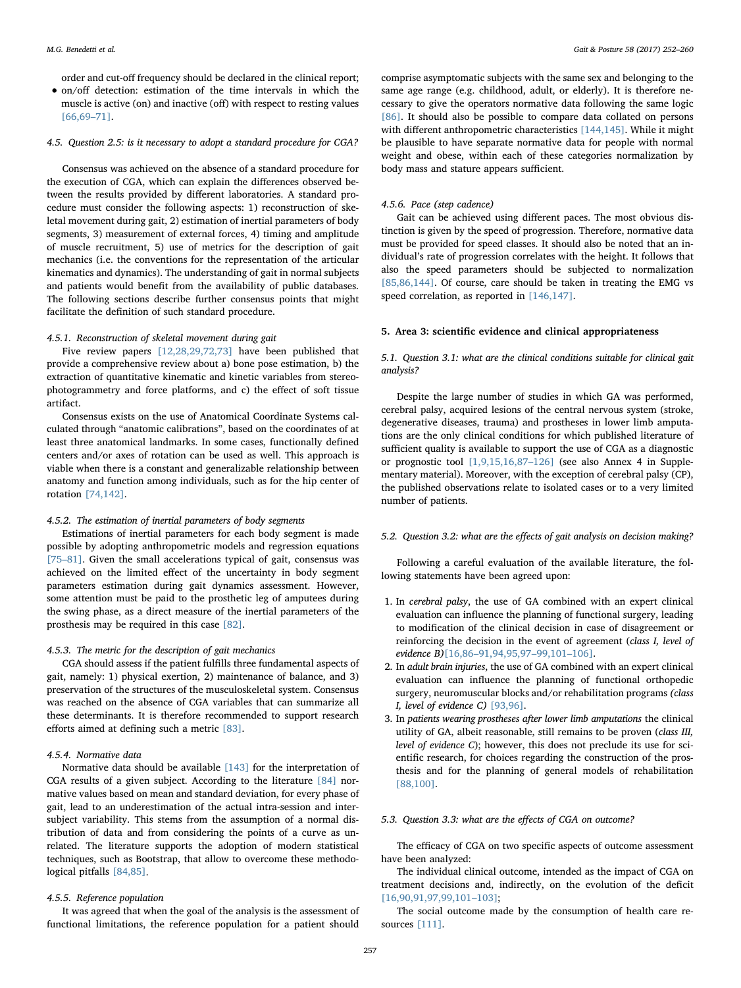order and cut-off frequency should be declared in the clinical report;

• on/off detection: estimation of the time intervals in which the muscle is active (on) and inactive (off) with respect to resting values [\[66,69](#page-7-11)–71].

#### 4.5. Question 2.5: is it necessary to adopt a standard procedure for CGA?

Consensus was achieved on the absence of a standard procedure for the execution of CGA, which can explain the differences observed between the results provided by different laboratories. A standard procedure must consider the following aspects: 1) reconstruction of skeletal movement during gait, 2) estimation of inertial parameters of body segments, 3) measurement of external forces, 4) timing and amplitude of muscle recruitment, 5) use of metrics for the description of gait mechanics (i.e. the conventions for the representation of the articular kinematics and dynamics). The understanding of gait in normal subjects and patients would benefit from the availability of public databases. The following sections describe further consensus points that might facilitate the definition of such standard procedure.

#### 4.5.1. Reconstruction of skeletal movement during gait

Five review papers [\[12,28,29,72,73\]](#page-6-10) have been published that provide a comprehensive review about a) bone pose estimation, b) the extraction of quantitative kinematic and kinetic variables from stereophotogrammetry and force platforms, and c) the effect of soft tissue artifact.

Consensus exists on the use of Anatomical Coordinate Systems calculated through "anatomic calibrations", based on the coordinates of at least three anatomical landmarks. In some cases, functionally defined centers and/or axes of rotation can be used as well. This approach is viable when there is a constant and generalizable relationship between anatomy and function among individuals, such as for the hip center of rotation [\[74,142\].](#page-7-12)

## 4.5.2. The estimation of inertial parameters of body segments

Estimations of inertial parameters for each body segment is made possible by adopting anthropometric models and regression equations [75–[81\]](#page-7-13). Given the small accelerations typical of gait, consensus was achieved on the limited effect of the uncertainty in body segment parameters estimation during gait dynamics assessment. However, some attention must be paid to the prosthetic leg of amputees during the swing phase, as a direct measure of the inertial parameters of the prosthesis may be required in this case [\[82\].](#page-7-14)

## 4.5.3. The metric for the description of gait mechanics

CGA should assess if the patient fulfills three fundamental aspects of gait, namely: 1) physical exertion, 2) maintenance of balance, and 3) preservation of the structures of the musculoskeletal system. Consensus was reached on the absence of CGA variables that can summarize all these determinants. It is therefore recommended to support research efforts aimed at defining such a metric [\[83\].](#page-7-15)

## 4.5.4. Normative data

Normative data should be available [\[143\]](#page-8-5) for the interpretation of CGA results of a given subject. According to the literature [\[84\]](#page-7-16) normative values based on mean and standard deviation, for every phase of gait, lead to an underestimation of the actual intra-session and intersubject variability. This stems from the assumption of a normal distribution of data and from considering the points of a curve as unrelated. The literature supports the adoption of modern statistical techniques, such as Bootstrap, that allow to overcome these methodo-logical pitfalls [\[84,85\]](#page-7-16).

## 4.5.5. Reference population

It was agreed that when the goal of the analysis is the assessment of functional limitations, the reference population for a patient should

comprise asymptomatic subjects with the same sex and belonging to the same age range (e.g. childhood, adult, or elderly). It is therefore necessary to give the operators normative data following the same logic [\[86\]](#page-7-17). It should also be possible to compare data collated on persons with different anthropometric characteristics [\[144,145\].](#page-8-6) While it might be plausible to have separate normative data for people with normal weight and obese, within each of these categories normalization by body mass and stature appears sufficient.

## 4.5.6. Pace (step cadence)

Gait can be achieved using different paces. The most obvious distinction is given by the speed of progression. Therefore, normative data must be provided for speed classes. It should also be noted that an individual's rate of progression correlates with the height. It follows that also the speed parameters should be subjected to normalization [\[85,86,144\]](#page-7-18). Of course, care should be taken in treating the EMG vs speed correlation, as reported in [\[146,147\].](#page-8-7)

#### 5. Area 3: scientific evidence and clinical appropriateness

## 5.1. Question 3.1: what are the clinical conditions suitable for clinical gait analysis?

Despite the large number of studies in which GA was performed, cerebral palsy, acquired lesions of the central nervous system (stroke, degenerative diseases, trauma) and prostheses in lower limb amputations are the only clinical conditions for which published literature of sufficient quality is available to support the use of CGA as a diagnostic or prognostic tool [\[1,9,15,16,87](#page-6-0)–126] (see also Annex 4 in Supplementary material). Moreover, with the exception of cerebral palsy (CP), the published observations relate to isolated cases or to a very limited number of patients.

## 5.2. Question 3.2: what are the effects of gait analysis on decision making?

Following a careful evaluation of the available literature, the following statements have been agreed upon:

- 1. In cerebral palsy, the use of GA combined with an expert clinical evaluation can influence the planning of functional surgery, leading to modification of the clinical decision in case of disagreement or reinforcing the decision in the event of agreement (class I, level of evidence B)[16,86–[91,94,95,97](#page-6-12)–99,101–106].
- 2. In adult brain injuries, the use of GA combined with an expert clinical evaluation can influence the planning of functional orthopedic surgery, neuromuscular blocks and/or rehabilitation programs (class I, level of evidence C) [\[93,96\]](#page-7-19).
- 3. In patients wearing prostheses after lower limb amputations the clinical utility of GA, albeit reasonable, still remains to be proven (class III, level of evidence C); however, this does not preclude its use for scientific research, for choices regarding the construction of the prosthesis and for the planning of general models of rehabilitation [\[88,100\].](#page-7-20)

## 5.3. Question 3.3: what are the effects of CGA on outcome?

The efficacy of CGA on two specific aspects of outcome assessment have been analyzed:

The individual clinical outcome, intended as the impact of CGA on treatment decisions and, indirectly, on the evolution of the deficit [\[16,90,91,97,99,101](#page-6-12)–103];

The social outcome made by the consumption of health care resources [\[111\]](#page-8-8).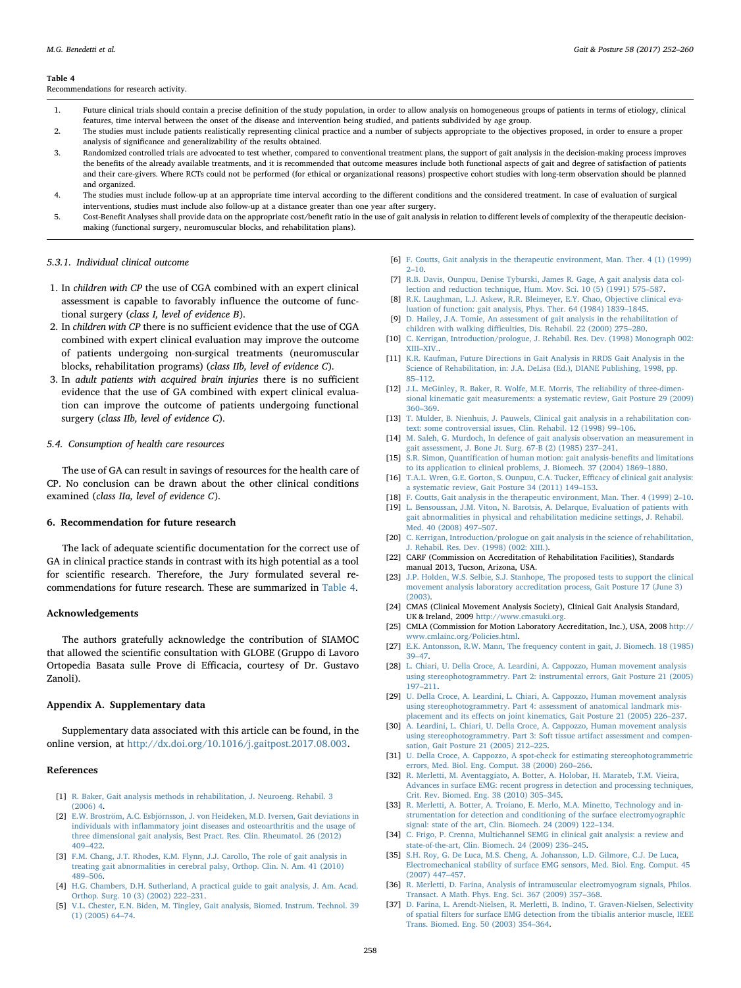#### <span id="page-6-13"></span>Table 4

Recommendations for research activity.

- 1. Future clinical trials should contain a precise definition of the study population, in order to allow analysis on homogeneous groups of patients in terms of etiology, clinical features, time interval between the onset of the disease and intervention being studied, and patients subdivided by age group.
- 2. The studies must include patients realistically representing clinical practice and a number of subjects appropriate to the objectives proposed, in order to ensure a proper analysis of significance and generalizability of the results obtained.
- 3. Randomized controlled trials are advocated to test whether, compared to conventional treatment plans, the support of gait analysis in the decision-making process improves the benefits of the already available treatments, and it is recommended that outcome measures include both functional aspects of gait and degree of satisfaction of patients and their care-givers. Where RCTs could not be performed (for ethical or organizational reasons) prospective cohort studies with long-term observation should be planned and organized.
- 4. The studies must include follow-up at an appropriate time interval according to the different conditions and the considered treatment. In case of evaluation of surgical interventions, studies must include also follow-up at a distance greater than one year after surgery.
- 5. Cost-Benefit Analyses shall provide data on the appropriate cost/benefit ratio in the use of gait analysis in relation to different levels of complexity of the therapeutic decisionmaking (functional surgery, neuromuscular blocks, and rehabilitation plans).

#### 5.3.1. Individual clinical outcome

- 1. In children with CP the use of CGA combined with an expert clinical assessment is capable to favorably influence the outcome of functional surgery (class I, level of evidence B).
- 2. In children with CP there is no sufficient evidence that the use of CGA combined with expert clinical evaluation may improve the outcome of patients undergoing non-surgical treatments (neuromuscular blocks, rehabilitation programs) (class IIb, level of evidence C).
- 3. In adult patients with acquired brain injuries there is no sufficient evidence that the use of GA combined with expert clinical evaluation can improve the outcome of patients undergoing functional surgery (class IIb, level of evidence C).

## 5.4. Consumption of health care resources

The use of GA can result in savings of resources for the health care of CP. No conclusion can be drawn about the other clinical conditions examined (class IIa, level of evidence C).

## 6. Recommendation for future research

The lack of adequate scientific documentation for the correct use of GA in clinical practice stands in contrast with its high potential as a tool for scientific research. Therefore, the Jury formulated several recommendations for future research. These are summarized in [Table 4.](#page-6-13)

#### Acknowledgements

The authors gratefully acknowledge the contribution of SIAMOC that allowed the scientific consultation with GLOBE (Gruppo di Lavoro Ortopedia Basata sulle Prove di Efficacia, courtesy of Dr. Gustavo Zanoli).

#### Appendix A. Supplementary data

Supplementary data associated with this article can be found, in the online version, at <http://dx.doi.org/10.1016/j.gaitpost.2017.08.003>.

## References

- <span id="page-6-0"></span>[1] [R. Baker, Gait analysis methods in rehabilitation, J. Neuroeng. Rehabil. 3](http://refhub.elsevier.com/S0966-6362(17)30838-X/sbref0005) [\(2006\) 4.](http://refhub.elsevier.com/S0966-6362(17)30838-X/sbref0005)
- [2] [E.W. Broström, A.C. Esbjörnsson, J. von Heideken, M.D. Iversen, Gait deviations in](http://refhub.elsevier.com/S0966-6362(17)30838-X/sbref0010) individuals with infl[ammatory joint diseases and osteoarthritis and the usage of](http://refhub.elsevier.com/S0966-6362(17)30838-X/sbref0010) [three dimensional gait analysis, Best Pract. Res. Clin. Rheumatol. 26 \(2012\)](http://refhub.elsevier.com/S0966-6362(17)30838-X/sbref0010) 409–[422.](http://refhub.elsevier.com/S0966-6362(17)30838-X/sbref0010)
- [3] [F.M. Chang, J.T. Rhodes, K.M. Flynn, J.J. Carollo, The role of gait analysis in](http://refhub.elsevier.com/S0966-6362(17)30838-X/sbref0015) [treating gait abnormalities in cerebral palsy, Orthop. Clin. N. Am. 41 \(2010\)](http://refhub.elsevier.com/S0966-6362(17)30838-X/sbref0015) 489–[506.](http://refhub.elsevier.com/S0966-6362(17)30838-X/sbref0015)
- [4] [H.G. Chambers, D.H. Sutherland, A practical guide to gait analysis, J. Am. Acad.](http://refhub.elsevier.com/S0966-6362(17)30838-X/sbref0020) [Orthop. Surg. 10 \(3\) \(2002\) 222](http://refhub.elsevier.com/S0966-6362(17)30838-X/sbref0020)–231.
- <span id="page-6-1"></span>[5] [V.L. Chester, E.N. Biden, M. Tingley, Gait analysis, Biomed. Instrum. Technol. 39](http://refhub.elsevier.com/S0966-6362(17)30838-X/sbref0025) [\(1\) \(2005\) 64](http://refhub.elsevier.com/S0966-6362(17)30838-X/sbref0025)–74.
- [6] [F. Coutts, Gait analysis in the therapeutic environment, Man. Ther. 4 \(1\) \(1999\)](http://refhub.elsevier.com/S0966-6362(17)30838-X/sbref0030)  $2 - 10.$  $2 - 10.$
- [7] [R.B. Davis, Ounpuu, Denise Tyburski, James R. Gage, A gait analysis data col](http://refhub.elsevier.com/S0966-6362(17)30838-X/sbref0035)[lection and reduction technique, Hum. Mov. Sci. 10 \(5\) \(1991\) 575](http://refhub.elsevier.com/S0966-6362(17)30838-X/sbref0035)–587.
- [8] [R.K. Laughman, L.J. Askew, R.R. Bleimeyer, E.Y. Chao, Objective clinical eva](http://refhub.elsevier.com/S0966-6362(17)30838-X/sbref0040)[luation of function: gait analysis, Phys. Ther. 64 \(1984\) 1839](http://refhub.elsevier.com/S0966-6362(17)30838-X/sbref0040)–1845.
- [9] [D. Hailey, J.A. Tomie, An assessment of gait analysis in the rehabilitation of](http://refhub.elsevier.com/S0966-6362(17)30838-X/sbref0045) children with walking diffi[culties, Dis. Rehabil. 22 \(2000\) 275](http://refhub.elsevier.com/S0966-6362(17)30838-X/sbref0045)–280.
- [10] [C. Kerrigan, Introduction/prologue, J. Rehabil. Res. Dev. \(1998\) Monograph 002:](http://refhub.elsevier.com/S0966-6362(17)30838-X/sbref0050) XIII–[XIV..](http://refhub.elsevier.com/S0966-6362(17)30838-X/sbref0050)
- [11] [K.R. Kaufman, Future Directions in Gait Analysis in RRDS Gait Analysis in the](http://refhub.elsevier.com/S0966-6362(17)30838-X/sbref0055) [Science of Rehabilitation, in: J.A. DeLisa \(Ed.\), DIANE Publishing, 1998, pp.](http://refhub.elsevier.com/S0966-6362(17)30838-X/sbref0055) 85–[112.](http://refhub.elsevier.com/S0966-6362(17)30838-X/sbref0055)
- <span id="page-6-10"></span>[12] [J.L. McGinley, R. Baker, R. Wolfe, M.E. Morris, The reliability of three-dimen](http://refhub.elsevier.com/S0966-6362(17)30838-X/sbref0060)[sional kinematic gait measurements: a systematic review, Gait Posture 29 \(2009\)](http://refhub.elsevier.com/S0966-6362(17)30838-X/sbref0060) 360–[369.](http://refhub.elsevier.com/S0966-6362(17)30838-X/sbref0060)
- [13] [T. Mulder, B. Nienhuis, J. Pauwels, Clinical gait analysis in a rehabilitation con](http://refhub.elsevier.com/S0966-6362(17)30838-X/sbref0065)[text: some controversial issues, Clin. Rehabil. 12 \(1998\) 99](http://refhub.elsevier.com/S0966-6362(17)30838-X/sbref0065)–106.
- [14] [M. Saleh, G. Murdoch, In defence of gait analysis observation an measurement in](http://refhub.elsevier.com/S0966-6362(17)30838-X/sbref0070) [gait assessment, J. Bone Jt. Surg. 67-B \(2\) \(1985\) 237](http://refhub.elsevier.com/S0966-6362(17)30838-X/sbref0070)–241.
- [15] S.R. Simon, Quantifi[cation of human motion: gait analysis-bene](http://refhub.elsevier.com/S0966-6362(17)30838-X/sbref0075)fits and limitations [to its application to clinical problems, J. Biomech. 37 \(2004\) 1869](http://refhub.elsevier.com/S0966-6362(17)30838-X/sbref0075)–1880.
- <span id="page-6-12"></span>[16] T.A.L. [Wren, G.E. Gorton, S. Ounpuu, C.A. Tucker, E](http://refhub.elsevier.com/S0966-6362(17)30838-X/sbref0080)fficacy of clinical gait analysis: [a systematic review, Gait Posture 34 \(2011\) 149](http://refhub.elsevier.com/S0966-6362(17)30838-X/sbref0080)–153.
- [18] [F. Coutts, Gait analysis in the therapeutic environment, Man. Ther. 4 \(1999\) 2](http://refhub.elsevier.com/S0966-6362(17)30838-X/sbref0085)–10.
- [19] [L. Bensoussan, J.M. Viton, N. Barotsis, A. Delarque, Evaluation of patients with](http://refhub.elsevier.com/S0966-6362(17)30838-X/sbref0090) [gait abnormalities in physical and rehabilitation medicine settings, J. Rehabil.](http://refhub.elsevier.com/S0966-6362(17)30838-X/sbref0090) [Med. 40 \(2008\) 497](http://refhub.elsevier.com/S0966-6362(17)30838-X/sbref0090)–507.
- [20] [C. Kerrigan, Introduction/prologue on gait analysis in the science of rehabilitation,](http://refhub.elsevier.com/S0966-6362(17)30838-X/sbref0095) [J. Rehabil. Res. Dev. \(1998\) \(002: XIII.\).](http://refhub.elsevier.com/S0966-6362(17)30838-X/sbref0095)
- <span id="page-6-2"></span>[22] CARF (Commission on Accreditation of Rehabilitation Facilities), Standards manual 2013, Tucson, Arizona, USA.
- [23] [J.P. Holden, W.S. Selbie, S.J. Stanhope, The proposed tests to support the clinical](http://refhub.elsevier.com/S0966-6362(17)30838-X/sbref0105) [movement analysis laboratory accreditation process, Gait Posture 17 \(June 3\)](http://refhub.elsevier.com/S0966-6362(17)30838-X/sbref0105) [\(2003\).](http://refhub.elsevier.com/S0966-6362(17)30838-X/sbref0105)
- <span id="page-6-3"></span>[24] CMAS (Clinical Movement Analysis Society), Clinical Gait Analysis Standard, UK & Ireland, 2009 <http://www.cmasuki.org>.
- <span id="page-6-4"></span>[25] CMLA (Commission for Motion Laboratory Accreditation, Inc.), USA, 2008 [http://](http://www.cmlainc.org/Policies.html) [www.cmlainc.org/Policies.html](http://www.cmlainc.org/Policies.html).
- <span id="page-6-5"></span>[27] [E.K. Antonsson, R.W. Mann, The frequency content in gait, J. Biomech. 18 \(1985\)](http://refhub.elsevier.com/S0966-6362(17)30838-X/sbref0120) 39–[47.](http://refhub.elsevier.com/S0966-6362(17)30838-X/sbref0120)
- <span id="page-6-6"></span>[28] [L. Chiari, U. Della Croce, A. Leardini, A. Cappozzo, Human movement analysis](http://refhub.elsevier.com/S0966-6362(17)30838-X/sbref0125) [using stereophotogrammetry. Part 2: instrumental errors, Gait Posture 21 \(2005\)](http://refhub.elsevier.com/S0966-6362(17)30838-X/sbref0125) 197–[211.](http://refhub.elsevier.com/S0966-6362(17)30838-X/sbref0125)
- <span id="page-6-9"></span>[29] [U. Della Croce, A. Leardini, L. Chiari, A. Cappozzo, Human movement analysis](http://refhub.elsevier.com/S0966-6362(17)30838-X/sbref0130) [using stereophotogrammetry. Part 4: assessment of anatomical landmark mis](http://refhub.elsevier.com/S0966-6362(17)30838-X/sbref0130)placement and its eff[ects on joint kinematics, Gait Posture 21 \(2005\) 226](http://refhub.elsevier.com/S0966-6362(17)30838-X/sbref0130)–237.
- [30] [A. Leardini, L. Chiari, U. Della Croce, A. Cappozzo, Human movement analysis](http://refhub.elsevier.com/S0966-6362(17)30838-X/sbref0135) [using stereophotogrammetry. Part 3: Soft tissue artifact assessment and compen](http://refhub.elsevier.com/S0966-6362(17)30838-X/sbref0135)[sation, Gait Posture 21 \(2005\) 212](http://refhub.elsevier.com/S0966-6362(17)30838-X/sbref0135)–225.
- <span id="page-6-7"></span>[31] [U. Della Croce, A. Cappozzo, A spot-check for estimating stereophotogrammetric](http://refhub.elsevier.com/S0966-6362(17)30838-X/sbref0140) [errors, Med. Biol. Eng. Comput. 38 \(2000\) 260](http://refhub.elsevier.com/S0966-6362(17)30838-X/sbref0140)–266.
- <span id="page-6-8"></span>[32] [R. Merletti, M. Aventaggiato, A. Botter, A. Holobar, H. Marateb, T.M. Vieira,](http://refhub.elsevier.com/S0966-6362(17)30838-X/sbref0145) [Advances in surface EMG: recent progress in detection and processing techniques,](http://refhub.elsevier.com/S0966-6362(17)30838-X/sbref0145) [Crit. Rev. Biomed. Eng. 38 \(2010\) 305](http://refhub.elsevier.com/S0966-6362(17)30838-X/sbref0145)–345.
- [33] [R. Merletti, A. Botter, A. Troiano, E. Merlo, M.A. Minetto, Technology and in](http://refhub.elsevier.com/S0966-6362(17)30838-X/sbref0150)[strumentation for detection and conditioning of the surface electromyographic](http://refhub.elsevier.com/S0966-6362(17)30838-X/sbref0150) [signal: state of the art, Clin. Biomech. 24 \(2009\) 122](http://refhub.elsevier.com/S0966-6362(17)30838-X/sbref0150)–134.
- <span id="page-6-11"></span>[34] [C. Frigo, P. Crenna, Multichannel SEMG in clinical gait analysis: a review and](http://refhub.elsevier.com/S0966-6362(17)30838-X/sbref0155) [state-of-the-art, Clin. Biomech. 24 \(2009\) 236](http://refhub.elsevier.com/S0966-6362(17)30838-X/sbref0155)–245.
- [35] [S.H. Roy, G. De Luca, M.S. Cheng, A. Johansson, L.D. Gilmore, C.J. De Luca,](http://refhub.elsevier.com/S0966-6362(17)30838-X/sbref0160) [Electromechanical stability of surface EMG sensors, Med. Biol. Eng. Comput. 45](http://refhub.elsevier.com/S0966-6362(17)30838-X/sbref0160) [\(2007\) 447](http://refhub.elsevier.com/S0966-6362(17)30838-X/sbref0160)–457.
- [36] [R. Merletti, D. Farina, Analysis of intramuscular electromyogram signals, Philos.](http://refhub.elsevier.com/S0966-6362(17)30838-X/sbref0165) Transact. [A Math. Phys. Eng. Sci. 367 \(2009\) 357](http://refhub.elsevier.com/S0966-6362(17)30838-X/sbref0165)–368.
- [37] [D. Farina, L. Arendt-Nielsen, R. Merletti, B. Indino, T. Graven-Nielsen, Selectivity](http://refhub.elsevier.com/S0966-6362(17)30838-X/sbref0170) of spatial fi[lters for surface EMG detection from the tibialis anterior muscle, IEEE](http://refhub.elsevier.com/S0966-6362(17)30838-X/sbref0170) [Trans. Biomed. Eng. 50 \(2003\) 354](http://refhub.elsevier.com/S0966-6362(17)30838-X/sbref0170)–364.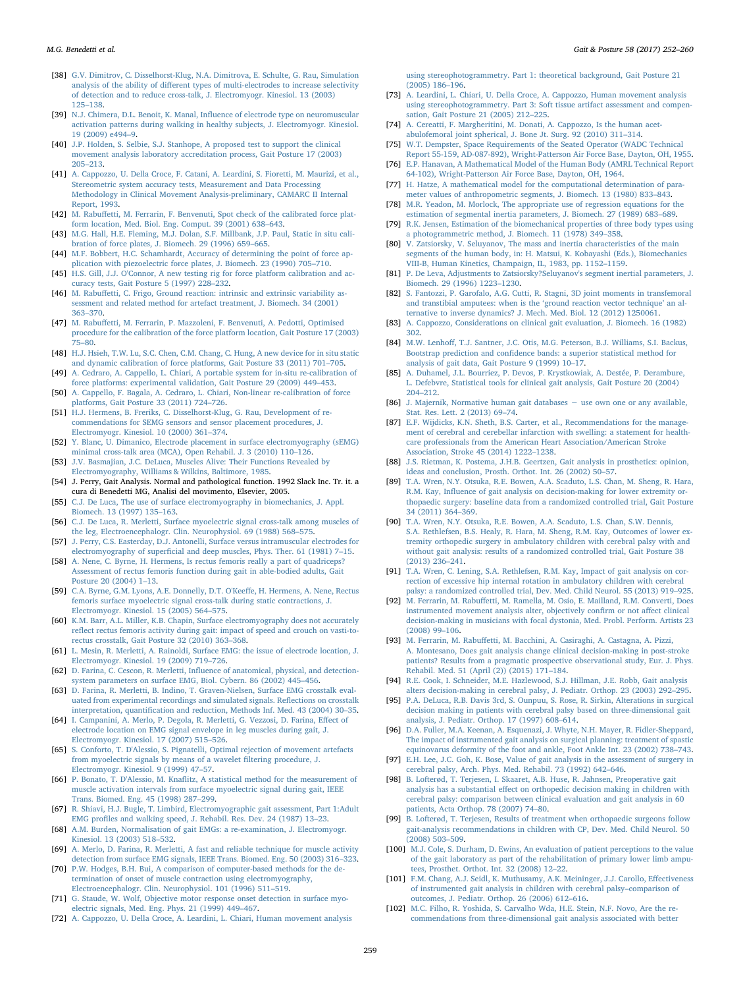- [38] [G.V. Dimitrov, C. Disselhorst-Klug, N.A. Dimitrova, E. Schulte, G. Rau, Simulation](http://refhub.elsevier.com/S0966-6362(17)30838-X/sbref0175) analysis of the ability of diff[erent types of multi-electrodes to increase selectivity](http://refhub.elsevier.com/S0966-6362(17)30838-X/sbref0175) [of detection and to reduce cross-talk, J. Electromyogr. Kinesiol. 13 \(2003\)](http://refhub.elsevier.com/S0966-6362(17)30838-X/sbref0175) 125–[138.](http://refhub.elsevier.com/S0966-6362(17)30838-X/sbref0175)
- [39] N.J. Chimera, D.L. Benoit, K. Manal, Infl[uence of electrode type on neuromuscular](http://refhub.elsevier.com/S0966-6362(17)30838-X/sbref0180) [activation patterns during walking in healthy subjects, J. Electromyogr. Kinesiol.](http://refhub.elsevier.com/S0966-6362(17)30838-X/sbref0180) [19 \(2009\) e494](http://refhub.elsevier.com/S0966-6362(17)30838-X/sbref0180)–9.
- <span id="page-7-0"></span>[40] [J.P. Holden, S. Selbie, S.J. Stanhope, A proposed test to support the clinical](http://refhub.elsevier.com/S0966-6362(17)30838-X/sbref0185) [movement analysis laboratory accreditation process, Gait Posture 17 \(2003\)](http://refhub.elsevier.com/S0966-6362(17)30838-X/sbref0185) 205–[213.](http://refhub.elsevier.com/S0966-6362(17)30838-X/sbref0185)
- <span id="page-7-1"></span>[41] [A. Cappozzo, U. Della Croce, F. Catani, A. Leardini, S. Fioretti, M. Maurizi, et al.,](http://refhub.elsevier.com/S0966-6362(17)30838-X/sbref0190) [Stereometric system accuracy tests, Measurement and Data Processing](http://refhub.elsevier.com/S0966-6362(17)30838-X/sbref0190) [Methodology in Clinical Movement Analysis-preliminary, CAMARC II Internal](http://refhub.elsevier.com/S0966-6362(17)30838-X/sbref0190) [Report, 1993.](http://refhub.elsevier.com/S0966-6362(17)30838-X/sbref0190)
- [42] M. Rabuff[etti, M. Ferrarin, F. Benvenuti, Spot check of the calibrated force plat](http://refhub.elsevier.com/S0966-6362(17)30838-X/sbref0195)[form location, Med. Biol. Eng. Comput. 39 \(2001\) 638](http://refhub.elsevier.com/S0966-6362(17)30838-X/sbref0195)–643.
- [43] [M.G. Hall, H.E. Fleming, M.J. Dolan, S.F. Millbank, J.P. Paul, Static in situ cali](http://refhub.elsevier.com/S0966-6362(17)30838-X/sbref0200)[bration of force plates, J. Biomech. 29 \(1996\) 659](http://refhub.elsevier.com/S0966-6362(17)30838-X/sbref0200)–665.
- [44] [M.F. Bobbert, H.C. Schamhardt, Accuracy of determining the point of force ap](http://refhub.elsevier.com/S0966-6362(17)30838-X/sbref0205)[plication with piezoelectric force plates, J. Biomech. 23 \(1990\) 705](http://refhub.elsevier.com/S0966-6362(17)30838-X/sbref0205)–710.
- <span id="page-7-2"></span>[45] [H.S. Gill, J.J. O'Connor, A new testing rig for force platform calibration and ac](http://refhub.elsevier.com/S0966-6362(17)30838-X/sbref0210)[curacy tests, Gait Posture 5 \(1997\) 228](http://refhub.elsevier.com/S0966-6362(17)30838-X/sbref0210)–232.
- [46] M. Rabuff[etti, C. Frigo, Ground reaction: intrinsic and extrinsic variability as](http://refhub.elsevier.com/S0966-6362(17)30838-X/sbref0215)[sessment and related method for artefact treatment, J. Biomech. 34 \(2001\)](http://refhub.elsevier.com/S0966-6362(17)30838-X/sbref0215) 363–[370.](http://refhub.elsevier.com/S0966-6362(17)30838-X/sbref0215)
- [47] M. Rabuff[etti, M. Ferrarin, P. Mazzoleni, F. Benvenuti, A. Pedotti, Optimised](http://refhub.elsevier.com/S0966-6362(17)30838-X/sbref0220) [procedure for the calibration of the force platform location, Gait Posture 17 \(2003\)](http://refhub.elsevier.com/S0966-6362(17)30838-X/sbref0220) 75–[80.](http://refhub.elsevier.com/S0966-6362(17)30838-X/sbref0220)
- [48] [H.J. Hsieh, T.W. Lu, S.C. Chen, C.M. Chang, C. Hung, A new device for in situ static](http://refhub.elsevier.com/S0966-6362(17)30838-X/sbref0225) [and dynamic calibration of force platforms, Gait Posture 33 \(2011\) 701](http://refhub.elsevier.com/S0966-6362(17)30838-X/sbref0225)–705.
- [49] [A. Cedraro, A. Cappello, L. Chiari, A portable system for in-situ re-calibration of](http://refhub.elsevier.com/S0966-6362(17)30838-X/sbref0230) [force platforms: experimental validation, Gait Posture 29 \(2009\) 449](http://refhub.elsevier.com/S0966-6362(17)30838-X/sbref0230)–453.
- [50] [A. Cappello, F. Bagala, A. Cedraro, L. Chiari, Non-linear re-calibration of force](http://refhub.elsevier.com/S0966-6362(17)30838-X/sbref0235) [platforms, Gait Posture 33 \(2011\) 724](http://refhub.elsevier.com/S0966-6362(17)30838-X/sbref0235)–726.
- <span id="page-7-3"></span>[51] [H.J. Hermens, B. Freriks, C. Disselhorst-Klug, G. Rau, Development of re](http://refhub.elsevier.com/S0966-6362(17)30838-X/sbref0240)[commendations for SEMG sensors and sensor placement procedures, J.](http://refhub.elsevier.com/S0966-6362(17)30838-X/sbref0240) [Electromyogr. Kinesiol. 10 \(2000\) 361](http://refhub.elsevier.com/S0966-6362(17)30838-X/sbref0240)–374.
- <span id="page-7-7"></span>[52] [Y. Blanc, U. Dimanico, Electrode placement in surface electromyography \(sEMG\)](http://refhub.elsevier.com/S0966-6362(17)30838-X/sbref0245) [minimal cross-talk area \(MCA\), Open Rehabil. J. 3 \(2010\) 110](http://refhub.elsevier.com/S0966-6362(17)30838-X/sbref0245)–126.
- <span id="page-7-4"></span>[53] J.V. [Basmajian, J.C. DeLuca, Muscles Alive: Their Functions Revealed by](http://refhub.elsevier.com/S0966-6362(17)30838-X/sbref0250) [Electromyography, Williams & Wilkins, Baltimore, 1985.](http://refhub.elsevier.com/S0966-6362(17)30838-X/sbref0250)
- [54] J. Perry, Gait Analysis. Normal and pathological function. 1992 Slack Inc. Tr. it. a cura di Benedetti MG, Analisi del movimento, Elsevier, 2005.
- <span id="page-7-5"></span>[55] [C.J. De Luca, The use of surface electromyography in biomechanics, J. Appl.](http://refhub.elsevier.com/S0966-6362(17)30838-X/sbref0260) [Biomech. 13 \(1997\) 135](http://refhub.elsevier.com/S0966-6362(17)30838-X/sbref0260)–163.
- <span id="page-7-8"></span>[56] [C.J. De Luca, R. Merletti, Surface myoelectric signal cross-talk among muscles of](http://refhub.elsevier.com/S0966-6362(17)30838-X/sbref0265) [the leg, Electroencephalogr. Clin. Neurophysiol. 69 \(1988\) 568](http://refhub.elsevier.com/S0966-6362(17)30838-X/sbref0265)–575.
- [57] [J. Perry, C.S. Easterday, D.J. Antonelli, Surface versus intramuscular electrodes for](http://refhub.elsevier.com/S0966-6362(17)30838-X/sbref0270) electromyography of superfi[cial and deep muscles, Phys. Ther. 61 \(1981\) 7](http://refhub.elsevier.com/S0966-6362(17)30838-X/sbref0270)–15.
- <span id="page-7-6"></span>[58] [A. Nene, C. Byrne, H. Hermens, Is rectus femoris really a part of quadriceps?](http://refhub.elsevier.com/S0966-6362(17)30838-X/sbref0275) [Assessment of rectus femoris function during gait in able-bodied adults, Gait](http://refhub.elsevier.com/S0966-6362(17)30838-X/sbref0275) [Posture 20 \(2004\) 1](http://refhub.elsevier.com/S0966-6362(17)30838-X/sbref0275)–13.
- [59] [C.A. Byrne, G.M. Lyons, A.E. Donnelly, D.T. O'Kee](http://refhub.elsevier.com/S0966-6362(17)30838-X/sbref0280)ffe, H. Hermens, A. Nene, Rectus [femoris surface myoelectric signal cross-talk during static contractions, J.](http://refhub.elsevier.com/S0966-6362(17)30838-X/sbref0280) [Electromyogr. Kinesiol. 15 \(2005\) 564](http://refhub.elsevier.com/S0966-6362(17)30838-X/sbref0280)–575.
- <span id="page-7-9"></span>[60] [K.M. Barr, A.L. Miller, K.B. Chapin, Surface electromyography does not accurately](http://refhub.elsevier.com/S0966-6362(17)30838-X/sbref0285) refl[ect rectus femoris activity during gait: impact of speed and crouch on vasti-to](http://refhub.elsevier.com/S0966-6362(17)30838-X/sbref0285)[rectus crosstalk, Gait Posture 32 \(2010\) 363](http://refhub.elsevier.com/S0966-6362(17)30838-X/sbref0285)–368.
- [61] [L. Mesin, R. Merletti, A. Rainoldi, Surface EMG: the issue of electrode location, J.](http://refhub.elsevier.com/S0966-6362(17)30838-X/sbref0290) [Electromyogr. Kinesiol. 19 \(2009\) 719](http://refhub.elsevier.com/S0966-6362(17)30838-X/sbref0290)–726.
- [62] D. Farina, C. Cescon, R. Merletti, Infl[uence of anatomical, physical, and detection](http://refhub.elsevier.com/S0966-6362(17)30838-X/sbref0295)[system parameters on surface EMG, Biol. Cybern. 86 \(2002\) 445](http://refhub.elsevier.com/S0966-6362(17)30838-X/sbref0295)–456.
- [63] [D. Farina, R. Merletti, B. Indino, T. Graven-Nielsen, Surface EMG crosstalk eval](http://refhub.elsevier.com/S0966-6362(17)30838-X/sbref0300)[uated from experimental recordings and simulated signals. Re](http://refhub.elsevier.com/S0966-6362(17)30838-X/sbref0300)flections on crosstalk interpretation, quantifi[cation and reduction, Methods Inf. Med. 43 \(2004\) 30](http://refhub.elsevier.com/S0966-6362(17)30838-X/sbref0300)–35.
- [64] [I. Campanini, A. Merlo, P. Degola, R. Merletti, G. Vezzosi, D. Farina, E](http://refhub.elsevier.com/S0966-6362(17)30838-X/sbref0305)ffect of [electrode location on EMG signal envelope in leg muscles during gait, J.](http://refhub.elsevier.com/S0966-6362(17)30838-X/sbref0305) [Electromyogr. Kinesiol. 17 \(2007\) 515](http://refhub.elsevier.com/S0966-6362(17)30838-X/sbref0305)–526.
- <span id="page-7-10"></span>[65] [S. Conforto, T. D'Alessio, S. Pignatelli, Optimal rejection of movement artefacts](http://refhub.elsevier.com/S0966-6362(17)30838-X/sbref0310) [from myoelectric signals by means of a wavelet](http://refhub.elsevier.com/S0966-6362(17)30838-X/sbref0310) filtering procedure, J. [Electromyogr. Kinesiol. 9 \(1999\) 47](http://refhub.elsevier.com/S0966-6362(17)30838-X/sbref0310)–57.
- <span id="page-7-11"></span>[66] P. Bonato, T. D'Alessio, M. Knafl[itz, A statistical method for the measurement of](http://refhub.elsevier.com/S0966-6362(17)30838-X/sbref0315) [muscle activation intervals from surface myoelectric signal during gait, IEEE](http://refhub.elsevier.com/S0966-6362(17)30838-X/sbref0315) Trans. [Biomed. Eng. 45 \(1998\) 287](http://refhub.elsevier.com/S0966-6362(17)30838-X/sbref0315)–299.
- [67] [R. Shiavi, H.J. Bugle, T. Limbird, Electromyographic gait assessment, Part 1:Adult](http://refhub.elsevier.com/S0966-6362(17)30838-X/sbref0320) EMG profi[les and walking speed, J. Rehabil. Res. Dev. 24 \(1987\) 13](http://refhub.elsevier.com/S0966-6362(17)30838-X/sbref0320)–23.
- [68] [A.M. Burden, Normalisation of gait EMGs: a re-examination, J. Electromyogr.](http://refhub.elsevier.com/S0966-6362(17)30838-X/sbref0325) [Kinesiol. 13 \(2003\) 518](http://refhub.elsevier.com/S0966-6362(17)30838-X/sbref0325)–532.
- [A. Merlo, D. Farina, R. Merletti, A fast and reliable technique for muscle activity](http://refhub.elsevier.com/S0966-6362(17)30838-X/sbref0330) [detection from surface EMG signals, IEEE Trans. Biomed. Eng. 50 \(2003\) 316](http://refhub.elsevier.com/S0966-6362(17)30838-X/sbref0330)–323.
- [70] [P.W. Hodges, B.H. Bui, A comparison of computer-based methods for the de](http://refhub.elsevier.com/S0966-6362(17)30838-X/sbref0335)[termination of onset of muscle contraction using electromyography,](http://refhub.elsevier.com/S0966-6362(17)30838-X/sbref0335) [Electroencephalogr. Clin. Neurophysiol. 101 \(1996\) 511](http://refhub.elsevier.com/S0966-6362(17)30838-X/sbref0335)–519.
- [71] [G. Staude, W. Wolf, Objective motor response onset detection in surface myo](http://refhub.elsevier.com/S0966-6362(17)30838-X/sbref0340)[electric signals, Med. Eng. Phys. 21 \(1999\) 449](http://refhub.elsevier.com/S0966-6362(17)30838-X/sbref0340)–467.
- [72] [A. Cappozzo, U. Della Croce, A. Leardini, L. Chiari, Human movement analysis](http://refhub.elsevier.com/S0966-6362(17)30838-X/sbref0345)

[using stereophotogrammetry. Part 1: theoretical background, Gait Posture 21](http://refhub.elsevier.com/S0966-6362(17)30838-X/sbref0345) [\(2005\) 186](http://refhub.elsevier.com/S0966-6362(17)30838-X/sbref0345)–196.

- [73] [A. Leardini, L. Chiari, U. Della Croce, A. Cappozzo, Human movement analysis](http://refhub.elsevier.com/S0966-6362(17)30838-X/sbref0350) [using stereophotogrammetry. Part 3: Soft tissue artifact assessment and compen](http://refhub.elsevier.com/S0966-6362(17)30838-X/sbref0350)[sation, Gait Posture 21 \(2005\) 212](http://refhub.elsevier.com/S0966-6362(17)30838-X/sbref0350)–225.
- <span id="page-7-12"></span>[74] [A. Cereatti, F. Margheritini, M. Donati, A. Cappozzo, Is the human acet](http://refhub.elsevier.com/S0966-6362(17)30838-X/sbref0355)[abulofemoral joint spherical, J. Bone Jt. Surg. 92 \(2010\) 311](http://refhub.elsevier.com/S0966-6362(17)30838-X/sbref0355)–314.
- <span id="page-7-13"></span>[75] [W.T. Dempster, Space Requirements of the Seated Operator \(WADC Technical](http://refhub.elsevier.com/S0966-6362(17)30838-X/sbref0360) [Report 55-159, AD-087-892\), Wright-Patterson Air Force Base, Dayton, OH, 1955.](http://refhub.elsevier.com/S0966-6362(17)30838-X/sbref0360)
- [76] [E.P. Hanavan, A Mathematical Model of the Human Body \(AMRL Technical Report](http://refhub.elsevier.com/S0966-6362(17)30838-X/sbref0365) [64-102\), Wright-Patterson Air Force Base, Dayton, OH, 1964.](http://refhub.elsevier.com/S0966-6362(17)30838-X/sbref0365)
- [77] [H. Hatze, A mathematical model for the computational determination of para](http://refhub.elsevier.com/S0966-6362(17)30838-X/sbref0370)[meter values of anthropometric segments, J. Biomech. 13 \(1980\) 833](http://refhub.elsevier.com/S0966-6362(17)30838-X/sbref0370)–843.
- [78] [M.R. Yeadon, M. Morlock, The appropriate use of regression equations for the](http://refhub.elsevier.com/S0966-6362(17)30838-X/sbref0375) [estimation of segmental inertia parameters, J. Biomech. 27 \(1989\) 683](http://refhub.elsevier.com/S0966-6362(17)30838-X/sbref0375)–689.
- [79] [R.K. Jensen, Estimation of the biomechanical properties of three body types using](http://refhub.elsevier.com/S0966-6362(17)30838-X/sbref0380) [a photogrammetric method, J. Biomech. 11 \(1978\) 349](http://refhub.elsevier.com/S0966-6362(17)30838-X/sbref0380)–358.
- [80] [V. Zatsiorsky, V. Seluyanov, The mass and inertia characteristics of the main](http://refhub.elsevier.com/S0966-6362(17)30838-X/sbref0385) [segments of the human body, in: H. Matsui, K. Kobayashi \(Eds.\), Biomechanics](http://refhub.elsevier.com/S0966-6362(17)30838-X/sbref0385) [VIII-B, Human Kinetics, Champaign, IL, 1983, pp. 1152](http://refhub.elsevier.com/S0966-6362(17)30838-X/sbref0385)–1159.
- [81] [P. De Leva, Adjustments to Zatsiorsky?Seluyanov's segment inertial parameters, J.](http://refhub.elsevier.com/S0966-6362(17)30838-X/sbref0390) [Biomech. 29 \(1996\) 1223](http://refhub.elsevier.com/S0966-6362(17)30838-X/sbref0390)–1230.
- <span id="page-7-14"></span>[82] [S. Fantozzi, P. Garofalo, A.G. Cutti, R. Stagni, 3D joint moments in transfemoral](http://refhub.elsevier.com/S0966-6362(17)30838-X/sbref0395) [and transtibial amputees: when is the](http://refhub.elsevier.com/S0966-6362(17)30838-X/sbref0395) 'ground reaction vector technique' an al[ternative to inverse dynamics? J. Mech. Med. Biol. 12 \(2012\) 1250061.](http://refhub.elsevier.com/S0966-6362(17)30838-X/sbref0395)
- <span id="page-7-15"></span>[83] [A. Cappozzo, Considerations on clinical gait evaluation, J. Biomech. 16 \(1982\)](http://refhub.elsevier.com/S0966-6362(17)30838-X/sbref0400) [302.](http://refhub.elsevier.com/S0966-6362(17)30838-X/sbref0400)
- <span id="page-7-16"></span>[84] M.W. Lenhoff[, T.J. Santner, J.C. Otis, M.G. Peterson, B.J. Williams, S.I. Backus,](http://refhub.elsevier.com/S0966-6362(17)30838-X/sbref0405) Bootstrap prediction and confi[dence bands: a superior statistical method for](http://refhub.elsevier.com/S0966-6362(17)30838-X/sbref0405) [analysis of gait data, Gait Posture 9 \(1999\) 10](http://refhub.elsevier.com/S0966-6362(17)30838-X/sbref0405)–17.
- <span id="page-7-18"></span>[85] [A. Duhamel, J.L. Bourriez, P. Devos, P. Krystkowiak, A. Destée, P. Derambure,](http://refhub.elsevier.com/S0966-6362(17)30838-X/sbref0410) [L. Defebvre, Statistical tools for clinical gait analysis, Gait Posture 20 \(2004\)](http://refhub.elsevier.com/S0966-6362(17)30838-X/sbref0410) 204–[212.](http://refhub.elsevier.com/S0966-6362(17)30838-X/sbref0410)
- <span id="page-7-17"></span>[86] [J. Majernik, Normative human gait databases](http://refhub.elsevier.com/S0966-6362(17)30838-X/sbref0415) − use own one or any available, [Stat. Res. Lett. 2 \(2013\) 69](http://refhub.elsevier.com/S0966-6362(17)30838-X/sbref0415)–74.
- [87] [E.F. Wijdicks, K.N. Sheth, B.S. Carter, et al., Recommendations for the manage](http://refhub.elsevier.com/S0966-6362(17)30838-X/sbref0420)[ment of cerebral and cerebellar infarction with swelling: a statement for health](http://refhub.elsevier.com/S0966-6362(17)30838-X/sbref0420)[care professionals from the American Heart Association/American Stroke](http://refhub.elsevier.com/S0966-6362(17)30838-X/sbref0420) [Association, Stroke 45 \(2014\) 1222](http://refhub.elsevier.com/S0966-6362(17)30838-X/sbref0420)–1238.
- <span id="page-7-20"></span>[88] [J.S. Rietman, K. Postema, J.H.B. Geertzen, Gait analysis in prosthetics: opinion,](http://refhub.elsevier.com/S0966-6362(17)30838-X/sbref0425) [ideas and conclusion, Prosth. Orthot. Int. 26 \(2002\) 50](http://refhub.elsevier.com/S0966-6362(17)30838-X/sbref0425)–57.
- [89] [T.A. Wren, N.Y. Otsuka, R.E. Bowen, A.A. Scaduto, L.S. Chan, M. Sheng, R. Hara,](http://refhub.elsevier.com/S0966-6362(17)30838-X/sbref0430) R.M. Kay, Infl[uence of gait analysis on decision-making for lower extremity or](http://refhub.elsevier.com/S0966-6362(17)30838-X/sbref0430)[thopaedic surgery: baseline data from a randomized controlled trial, Gait Posture](http://refhub.elsevier.com/S0966-6362(17)30838-X/sbref0430) [34 \(2011\) 364](http://refhub.elsevier.com/S0966-6362(17)30838-X/sbref0430)–369.
- [90] [T.A. Wren, N.Y. Otsuka, R.E. Bowen, A.A. Scaduto, L.S. Chan, S.W. Dennis,](http://refhub.elsevier.com/S0966-6362(17)30838-X/sbref0435) [S.A. Rethlefsen, B.S. Healy, R. Hara, M. Sheng, R.M. Kay, Outcomes of lower ex](http://refhub.elsevier.com/S0966-6362(17)30838-X/sbref0435)[tremity orthopedic surgery in ambulatory children with cerebral palsy with and](http://refhub.elsevier.com/S0966-6362(17)30838-X/sbref0435) [without gait analysis: results of a randomized controlled trial, Gait Posture 38](http://refhub.elsevier.com/S0966-6362(17)30838-X/sbref0435) [\(2013\) 236](http://refhub.elsevier.com/S0966-6362(17)30838-X/sbref0435)–241.
- [91] [T.A. Wren, C. Lening, S.A. Rethlefsen, R.M. Kay, Impact of gait analysis on cor](http://refhub.elsevier.com/S0966-6362(17)30838-X/sbref0440)[rection of excessive hip internal rotation in ambulatory children with cerebral](http://refhub.elsevier.com/S0966-6362(17)30838-X/sbref0440) [palsy: a randomized controlled trial, Dev. Med. Child Neurol. 55 \(2013\) 919](http://refhub.elsevier.com/S0966-6362(17)30838-X/sbref0440)–925.
- [92] M. Ferrarin, M. Rabuff[etti, M. Ramella, M. Osio, E. Mailland, R.M. Converti, Does](http://refhub.elsevier.com/S0966-6362(17)30838-X/sbref0445) [instrumented movement analysis alter, objectively con](http://refhub.elsevier.com/S0966-6362(17)30838-X/sbref0445)firm or not affect clinical [decision-making in musicians with focal dystonia, Med. Probl. Perform. Artists 23](http://refhub.elsevier.com/S0966-6362(17)30838-X/sbref0445) [\(2008\) 99](http://refhub.elsevier.com/S0966-6362(17)30838-X/sbref0445)–106.
- <span id="page-7-19"></span>[93] M. Ferrarin, M. Rabuff[etti, M. Bacchini, A. Casiraghi, A. Castagna, A. Pizzi,](http://refhub.elsevier.com/S0966-6362(17)30838-X/sbref0450) [A. Montesano, Does gait analysis change clinical decision-making in post-stroke](http://refhub.elsevier.com/S0966-6362(17)30838-X/sbref0450) [patients? Results from a pragmatic prospective observational study, Eur. J. Phys.](http://refhub.elsevier.com/S0966-6362(17)30838-X/sbref0450) [Rehabil. Med. 51 \(April \(2\)\) \(2015\) 171](http://refhub.elsevier.com/S0966-6362(17)30838-X/sbref0450)–184.
- [94] [R.E. Cook, I. Schneider, M.E. Hazlewood, S.J. Hillman, J.E. Robb, Gait analysis](http://refhub.elsevier.com/S0966-6362(17)30838-X/sbref0455) [alters decision-making in cerebral palsy, J. Pediatr. Orthop. 23 \(2003\) 292](http://refhub.elsevier.com/S0966-6362(17)30838-X/sbref0455)–295.
- [95] P.A. [DeLuca, R.B. Davis 3rd, S. Ounpuu, S. Rose, R. Sirkin, Alterations in surgical](http://refhub.elsevier.com/S0966-6362(17)30838-X/sbref0460) [decision making in patients with cerebral palsy based on three-dimensional gait](http://refhub.elsevier.com/S0966-6362(17)30838-X/sbref0460) [analysis, J. Pediatr. Orthop. 17 \(1997\) 608](http://refhub.elsevier.com/S0966-6362(17)30838-X/sbref0460)–614.
- [96] [D.A. Fuller, M.A. Keenan, A. Esquenazi, J. Whyte, N.H. Mayer, R. Fidler-Sheppard,](http://refhub.elsevier.com/S0966-6362(17)30838-X/sbref0465) [The impact of instrumented gait analysis on surgical planning: treatment of spastic](http://refhub.elsevier.com/S0966-6362(17)30838-X/sbref0465) [equinovarus deformity of the foot and ankle, Foot Ankle Int. 23 \(2002\) 738](http://refhub.elsevier.com/S0966-6362(17)30838-X/sbref0465)–743.
- [97] [E.H. Lee, J.C. Goh, K. Bose, Value of gait analysis in the assessment of surgery in](http://refhub.elsevier.com/S0966-6362(17)30838-X/sbref0470) [cerebral palsy, Arch. Phys. Med. Rehabil. 73 \(1992\) 642](http://refhub.elsevier.com/S0966-6362(17)30838-X/sbref0470)–646.
- [98] [B. Lofterød, T. Terjesen, I. Skaaret, A.B. Huse, R. Jahnsen, Preoperative gait](http://refhub.elsevier.com/S0966-6362(17)30838-X/sbref0475) analysis has a substantial eff[ect on orthopedic decision making in children with](http://refhub.elsevier.com/S0966-6362(17)30838-X/sbref0475) [cerebral palsy: comparison between clinical evaluation and gait analysis in 60](http://refhub.elsevier.com/S0966-6362(17)30838-X/sbref0475) [patients, Acta Orthop. 78 \(2007\) 74](http://refhub.elsevier.com/S0966-6362(17)30838-X/sbref0475)–80.
- [99] [B. Lofterød, T. Terjesen, Results of treatment when orthopaedic surgeons follow](http://refhub.elsevier.com/S0966-6362(17)30838-X/sbref0480) [gait-analysis recommendations in children with CP, Dev. Med. Child Neurol. 50](http://refhub.elsevier.com/S0966-6362(17)30838-X/sbref0480) [\(2008\) 503](http://refhub.elsevier.com/S0966-6362(17)30838-X/sbref0480)–509.
- [100] [M.J. Cole, S. Durham, D. Ewins, An evaluation of patient perceptions to the value](http://refhub.elsevier.com/S0966-6362(17)30838-X/sbref0485) [of the gait laboratory as part of the rehabilitation of primary lower limb ampu](http://refhub.elsevier.com/S0966-6362(17)30838-X/sbref0485)[tees, Prosthet. Orthot. Int. 32 \(2008\) 12](http://refhub.elsevier.com/S0966-6362(17)30838-X/sbref0485)–22.
- [101] [F.M. Chang, A.J. Seidl, K. Muthusamy, A.K. Meininger, J.J. Carollo, E](http://refhub.elsevier.com/S0966-6362(17)30838-X/sbref0490)ffectiveness [of instrumented gait analysis in children with cerebral palsy](http://refhub.elsevier.com/S0966-6362(17)30838-X/sbref0490)–comparison of [outcomes, J. Pediatr. Orthop. 26 \(2006\) 612](http://refhub.elsevier.com/S0966-6362(17)30838-X/sbref0490)–616.
- [102] [M.C. Filho, R. Yoshida, S. Carvalho Wda, H.E. Stein, N.F. Novo, Are the re](http://refhub.elsevier.com/S0966-6362(17)30838-X/sbref0495)[commendations from three-dimensional gait analysis associated with better](http://refhub.elsevier.com/S0966-6362(17)30838-X/sbref0495)